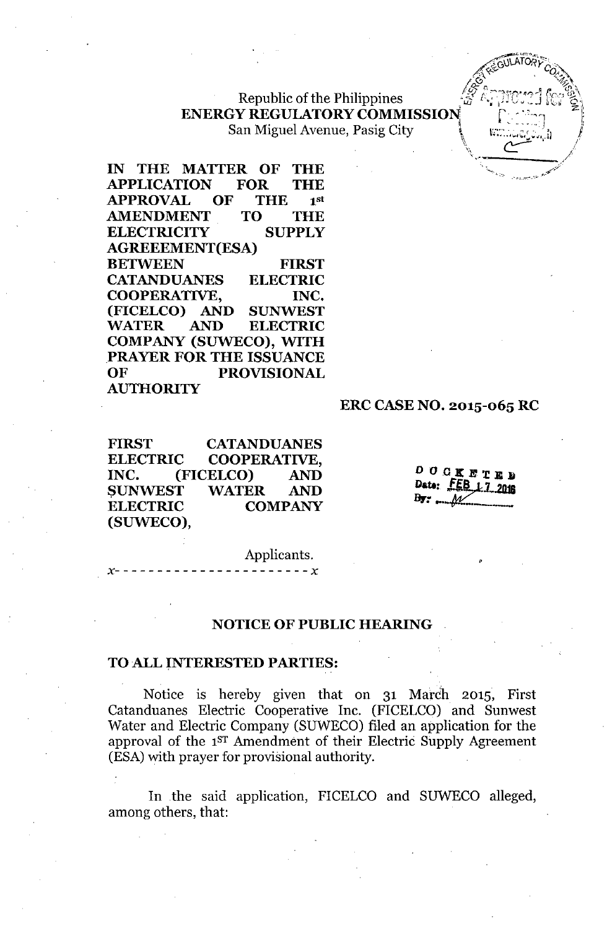# Republic of the Philippines **ENERGY REGULATORY COMMISSION** San Miguel Avenue, Pasig City

IN THE MATTER OF THE APPLICATION FOR THE APPROVAL OF THE 1 1st AMENDMENT TO THE ELECTRICITY SUPPLY AGREEEMENT(ESA) BETWEEN FIRST CATANDUANES ELECTRIC COOPERATIVE, INC. (FICELCO) AND SUNWEST WATER AND ELECTRIC COMPANY (SUWECO), WITH PRAYER FOR THE ISSUANCE OF PROVISIONAL AUTHORITY

#### ERC CASENO. 2015-065 RC

FIRST CATANDUANES ELECTRIC COOPERATIVE, INC. (FICELCO) AND SUNWEST WATER AND ELECTRIC COMPANY (SUWECO),

*x- - - - - - - - - - - - - - - - - - - - - - - x*

DOCKETED Date:  **1.7, 2018 Dr:, ••.***-ttJC..\_\_*

Applicants.

#### NOTICE OF PUBLIC HEARING

### TO ALL INTERESTED PARTIES:

Notice is hereby given that on 31 March 2015, First Catanduanes Electric Cooperative Inc. (FICELCO) and Sunwest Water and Electric Company (SUWECO) filed an application for the approval of the 1<sup>ST</sup> Amendment of their Electric Supply Agreement (ESA)with prayer for provisional authority.

In .the said application, FICELCO and SUWECO alleged, among others, that: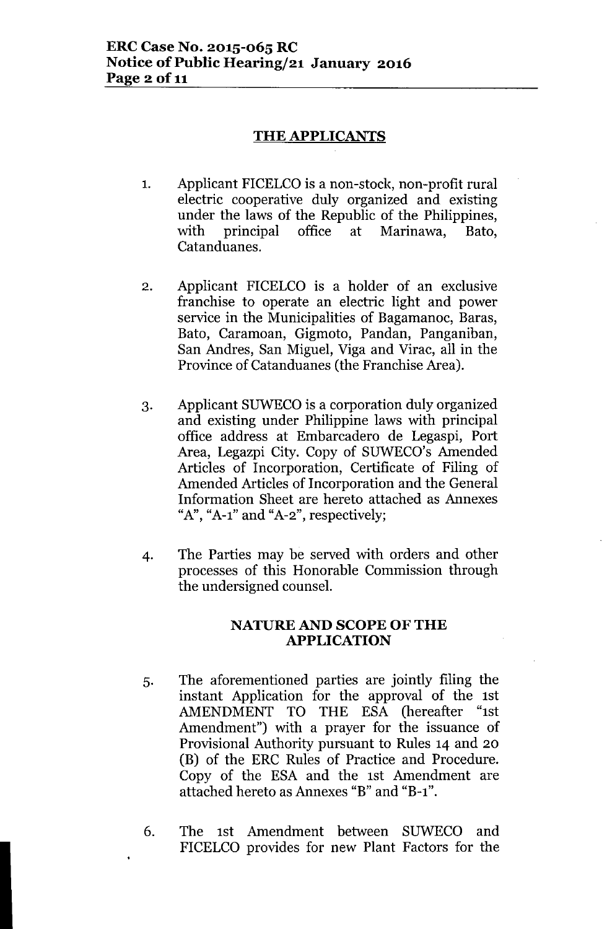# **THE APPLICANTS**

- 1. Applicant FICELCO is a non-stock, non-profit rural electric cooperative duly organized and existing under the laws of the Republic of the Philippines, with principal office at Marinawa, Bato, Catanduanes.
- 2. Applicant FICELCO is a holder of an exclusive franchise to operate an electric light and power service in the Municipalities of Bagamanoc, Baras, Bato, Caramoan, Gigmoto, Pandan, Panganiban, San Andres, San Miguel, Viga and Virac, all in the Province of Catanduanes (the Franchise Area).
- 3. Applicant SUWECO is a corporation duly organized and existing under Philippine laws with principal office address at Embarcadero de Legaspi, Port Area, Legazpi City. Copy of SUWECO's Amended Articles of Incorporation, Certificate of Filing of Amended Articles of Incorporation and the General Information Sheet are hereto attached as Annexes *"A", "A-I"* and *"A-2",* respectively;
- 4. The Parties may be served with orders and other processes of this Honorable Commission through the undersigned counsel.

### NATURE AND SCOPE OF THE **APPLICATION**

- 5. The aforementioned parties are jointly filing the instant Application for the approval of the 1st AMENDMENT TO THE ESA (hereafter "1st Amendment") with a prayer for the issuance of Provisional Authority pursuant to Rules 14 and 20 (B) of the ERC Rules of Practice and Procedure. Copy of the ESA and the 1st Amendment are attached hereto as Annexes "B" and "B-l".
- 6. The 1st Amendment between SUWECO and FICELCO provides for new Plant Factors for the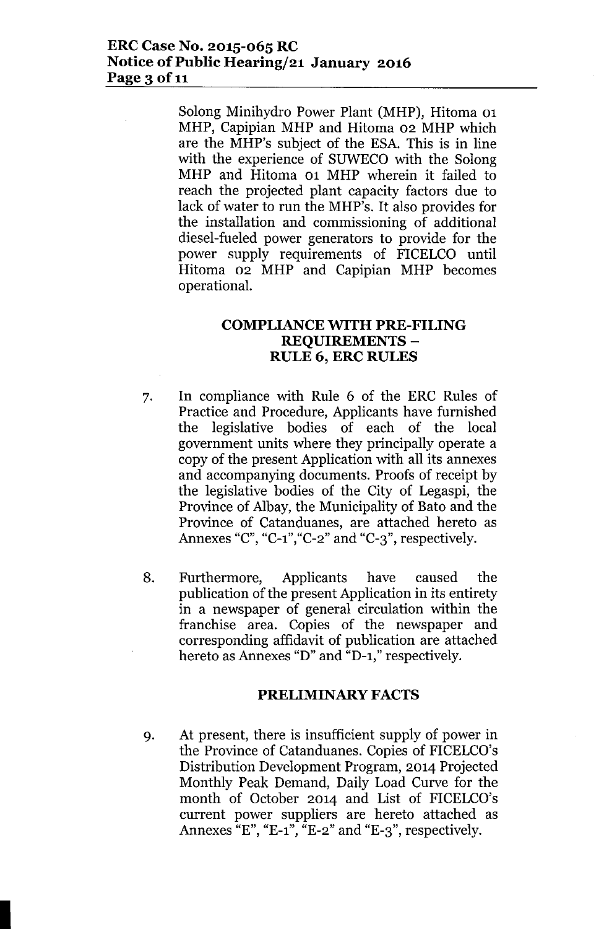### **ERC Case No. 2015-065 RC Notice** of Public **Hearing/21 January 2016 Page 3** of 11

Solong Minihydro Power Plant (MHP), Hitoma 01 MHP, Capipian MHP and Hitoma 02 MHP which are the MHP's subject of the ESA. This is in line with the experience of SUWECO with the Solong MHP and Hitoma 01 MHP wherein it failed to reach the projected plant capacity factors due to lack of water to run the MHP's. It also provides for the installation and commissioning of additional diesel-fueled power generators to provide for the power supply requirements of FICELCO until Hitoma 02 MHP and Capipian MHP becomes operational.

### **COMPLIANCE WITH PRE-FILING REQUIREMENTS - RULE 6, ERC RULES**

- 7. In compliance with Rule 6 of the ERC Rules of Practice and Procedure, Applicants have furnished the legislative bodies of each of the local government units where they principally operate a copy of the present Application with all its annexes and accompanying documents. Proofs of receipt by the legislative bodies of the City of Legaspi, the Province of Albay, the Municipality of Bato and the Province of Catanduanes, are attached hereto as Annexes "C", "C-1","C-2"and "C-3", respectively.
- 8. Furthermore, Applicants have caused the publication of the present Application in its entirety in a newspaper of general circulation within the franchise area. Copies of the newspaper and corresponding affidavit of publication are attached hereto as Annexes "D" and "D-1," respectively.

### **PRELIMINARY FACTS**

9. At present, there is insufficient supply of power in the Province of Catanduanes. Copies of FICELCO's Distribution Development Program, 2014 Projected Monthly Peak Demand, Daily Load Curve for the month of October 2014 and List of FICELCO's current power suppliers are hereto attached as Annexes  $E''$ , "E-1",  $E^{-2}$ " and "E-3", respectively.

I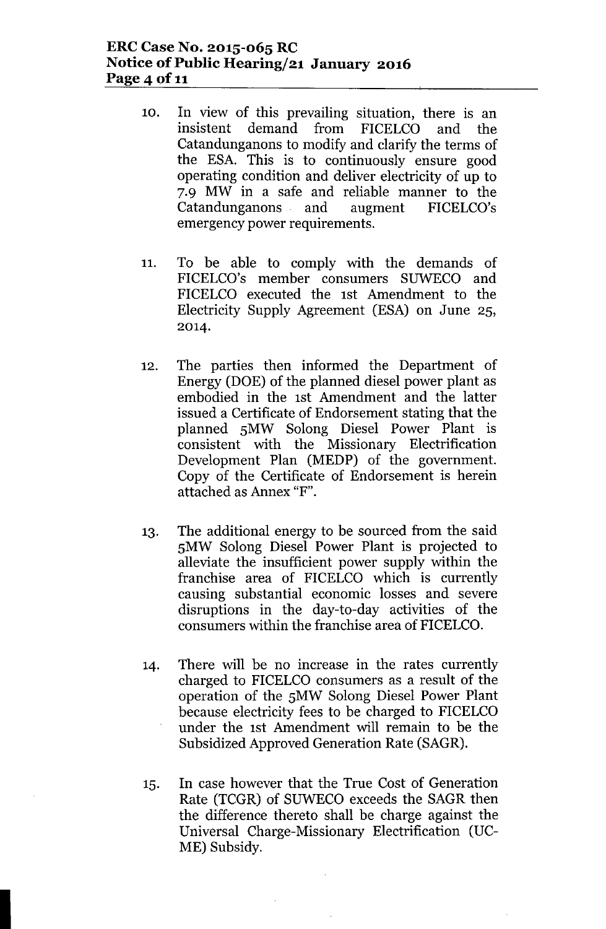# **ERCCase No. 2015-065 RC Notice of Public Hearing/21 January 2016 Page 4 of 11**

- 10. In view of this prevailing situation, there is an insistent demand from FICELCO and the Catandunganons to modify and clarify the terms of the ESA. This is to continuously ensure good operating condition and deliver electricity of up to 7.9 MW in a safe and reliable manner to the Catandunganons and augment FICELCO's emergency power requirements.
- 11. To be able to comply with the demands of FICELCO's member consumers SUWECO and FICELCO executed the 1st Amendment to the Electricity Supply Agreement (ESA) on June 2S, 2014.
- 12. The parties then informed the Department of Energy (DOE) of the planned diesel power plant as embodied in the 1st Amendment and the latter issued a Certificate of Endorsement stating that the planned SMW Solong Diesel Power Plant is consistent with the Missionary Electrification Development Plan (MEDP) of the government. Copy of the Certificate of Endorsement is herein attached as Annex "F".
- 13. The additional energy to be sourced from the said SMW Solong Diesel Power Plant is projected to alleviate the insufficient power supply within the franchise area of FICELCO which is currently causing substantial economic losses and severe disruptions in the day-to-day activities of the consumers within the franchise area of FICELCO.
- 14. There will be no increase in the rates currently charged to FICELCO consumers as a result of the operation of the SMW Solong Diesel Power Plant because electricity fees to be charged to FICELCO under the 1st Amendment will remain to be the Subsidized Approved Generation Rate (SAGR).
- IS. In case however that the True Cost of Generation Rate (TCGR) of SUWECO exceeds the SAGR then the difference thereto shall be charge against the Universal Charge-Missionary Electrification (UC-ME) Subsidy.

I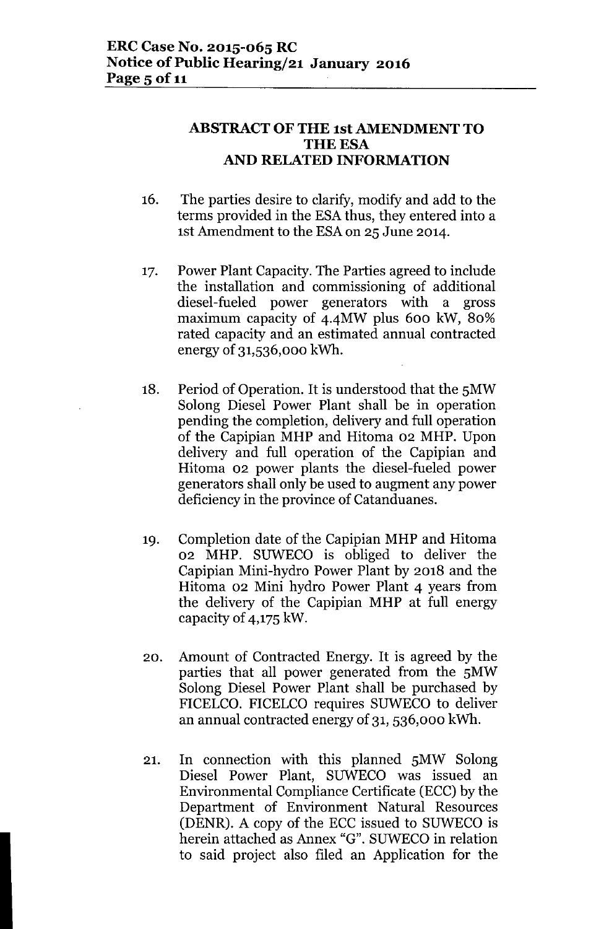# ABSTRACT OF THE 1st AMENDMENT TO **THE ESA** AND RELATED INFORMATION

- 16. The parties desire to clarify, modify and add to the terms provided in the ESA thus, they entered into a 1st Amendment to the ESAon 25 June 2014.
- 17. Power Plant Capacity. The Parties agreed to include the installation and commissioning of additional diesel-fueled power generators with a gross maximum capacity of 4-4MW plus 600 kW, 80% rated capacity and an estimated annual contracted energy of 31,536,000 kWh.
- 18. Period of Operation. It is understood that the 5MW Solong Diesel Power Plant shall be in operation pending the completion, delivery and full operation of the Capipian MHP and Hitoma 02 MHP. Upon delivery and full operation of the Capipian and Hitoma 02 power plants the diesel-fueled power generators shall only be used to augment any power deficiency in the province of Catanduanes.
- 19. Completion date of the Capipian MHP and Hitoma 02 MHP. SUWECO is obliged to deliver the Capipian Mini-hydro Power Plant by 2018 and the Hitoma 02 Mini hydro Power Plant 4 years from the delivery of the Capipian MHP at full energy capacity of 4,175 kW.
- 20. Amount of Contracted Energy. It is agreed by the parties that all power generated from the 5MW Solong Diesel Power Plant shall be purchased by FICELCO. FICELCO requires SUWECO to deliver an annual contracted energy of 31, 536,000 kWh.
- 21. In connection with this planned 5MW Solong Diesel Power Plant, SUWECO was issued an Environmental Compliance Certificate (ECC) by the Department of Environment Natural Resources (DENR). A copy of the ECC issued to SUWECO is herein attached as Annex "G". SUWECO in relation to said project also filed an Application for the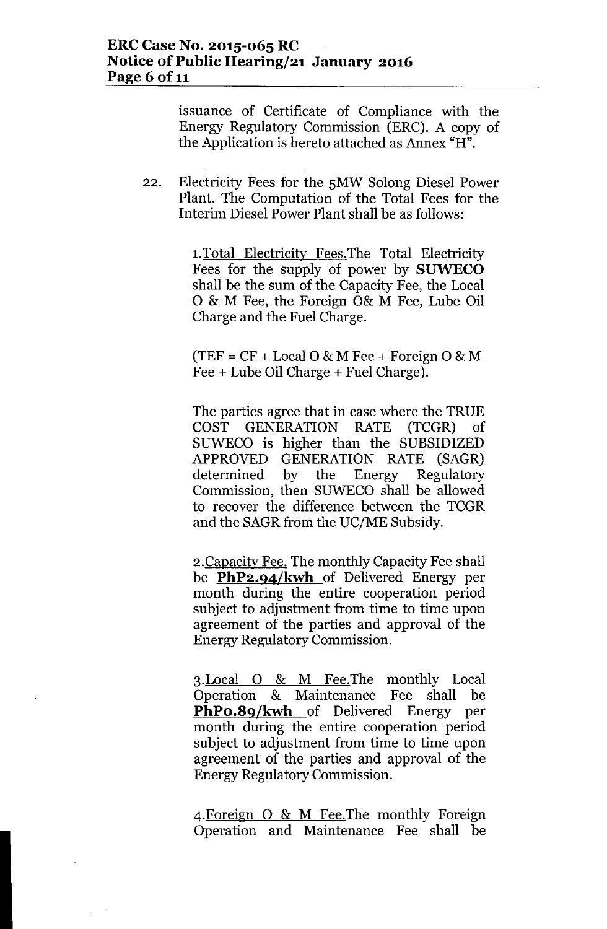issuance of Certificate of Compliance with the Energy Regulatory Commission (ERC). A copy of the Application is hereto attached as Annex "H".

22. Electricity Fees for the SMW Solong Diesel Power Plant. The Computation of the Total Fees for the Interim Diesel Power Plant shall be as follows:

> 1.Total Electricity Fees.The Total Electricity Fees for the supply of power by **SUWECO** shall be the sum of the Capacity Fee, the Local o & M Fee, the Foreign 0& M Fee, Lube Oil Charge and the Fuel Charge.

> $(TEF = CF + Local O & M Free + Foreign O & M)$ Fee + Lube Oil Charge + Fuel Charge).

The parties agree that in case where the TRUE COST GENERATION RATE (TCGR) of SUWECO is higher than the SUBSIDIZED APPROVED GENERATION RATE (SAGR) determined by the Energy Regulatory Commission, then SUWECO shall be allowed to recover the difference between the TCGR and the SAGR from the UC/ME Subsidy.

2.Capacity Fee. The monthly Capacity Fee shall be **PhP2.94/kwh** of Delivered Energy per month during the entire cooperation period subject to adjustment from time to time upon agreement of the parties and approval of the Energy Regulatory Commission.

3.Local 0 & M Fee.The monthly Local Operation & Maintenance Fee shall be **PhPo.8q/kwh** of Delivered Energy per month during the entire cooperation period subject to adjustment from time to time upon agreement of the parties and approval of the Energy Regulatory Commission.

4.Foreign 0 & M Fee.The monthly Foreign Operation and Maintenance Fee shall be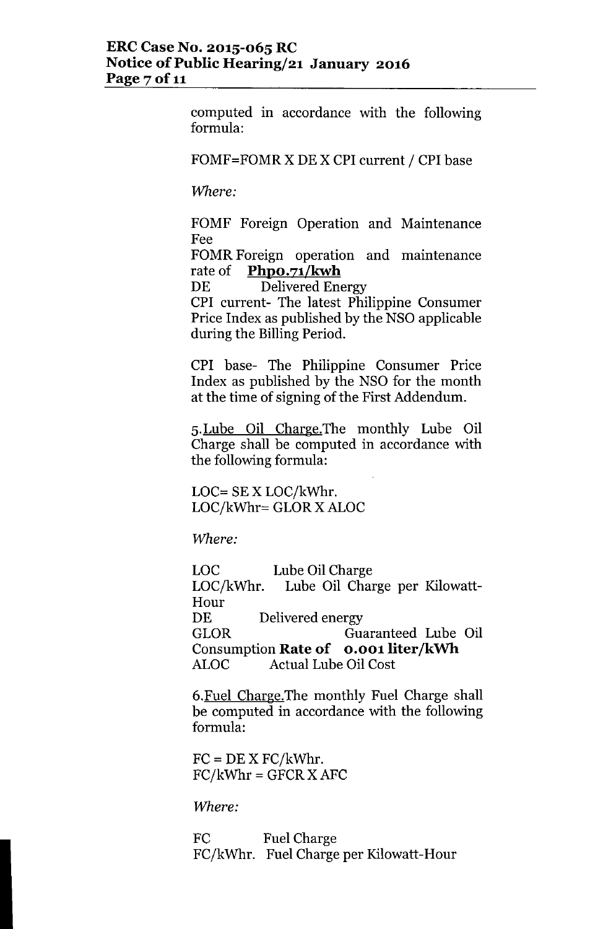computed in accordance with the following formula:

### FOMF=FOMR X DE X CPI current / CPI base

*VVhere:*

FOMF Foreign Operation and Maintenance Fee

FOMR Foreign operation and maintenance rate of **PhpO.71/kwh**

DE Delivered Energy

CPI current- The latest Philippine Consumer Price Index as published by the NSO applicable during the Billing Period.

CPI base- The Philippine Consumer Price Index as published by the NSO for the month at the time of signing of the First Addendum.

5.Lube Oil Charge.The monthly Lube Oil Charge shall be computed in accordance with the following formula:

LOC= SE X LOC/kWhr. LOC/kWhr= GLOR X ALOC

*VVhere:*

Lube Oil Charge Lube Oil Charge per Kilowatt-LOC LOC/kWhr. Hour DE Delivered energy GLOR Guaranteed Lube Oil **Consumption Rate of o.oo1 liter/kWh** ALOC Actual Lube Oil Cost

6.Fuel Charge.The monthly Fuel Charge shall be computed in accordance with the following formula:

 $FC = DE X FC/kWhr.$  $FC/kWhr = GFCR X AFC$ 

*VVhere:*

FC Fuel Charge FC/kWhr. Fuel Charge per Kilowatt-Hour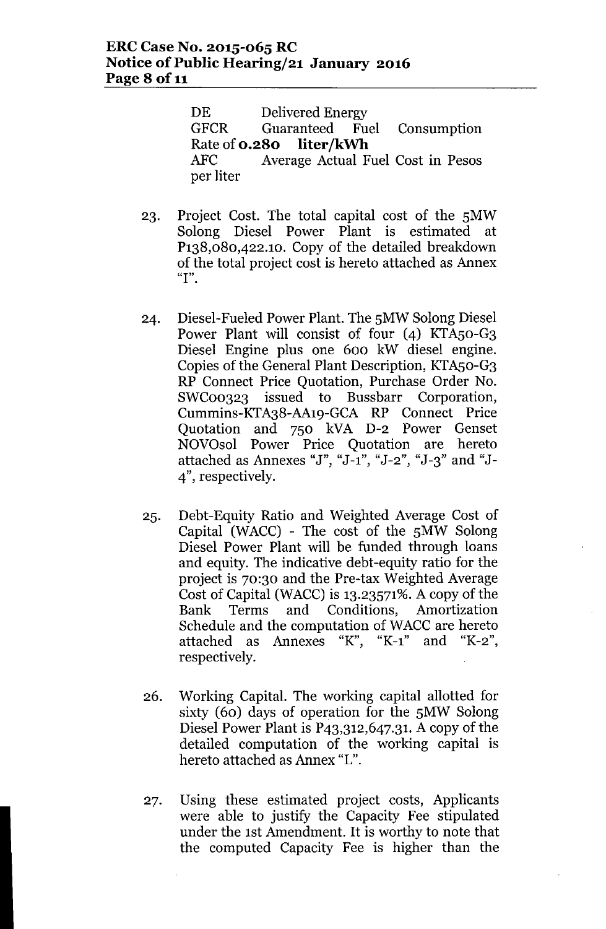DE Delivered Energy GFCR Guaranteed Fuel Consumption Rate of **0.280 liter/kWh** AFC Average Actual Fuel Cost in Pesos per liter

- 23. Project Cost. The total capital cost of the 5MW Solong Diesel Power Plant is estimated at P138,080,422.1O. Copy of the detailed breakdown of the total project cost is hereto attached as Annex **"I".**
- 24. Diesel-Fueled Power Plant. The 5MW Solong Diesel Power Plant will consist of four (4) KTA50-G3 Diesel Engine plus one 600 kW diesel engine. Copies of the General Plant Description, KTAso-G3 RP Connect Price Quotation, Purchase Order No.<br>SWC00323 issued to Bussbarr Corporation.  $SWCo<sub>0323</sub>$  issued to Bussbarr Cummins-KTA38-AA19-GCA RP Connect Price Quotation and 750 kVA D-2 Power Genset NOVOsol Power Price Quotation are hereto attached as Annexes "J", "J-1", "J-2" , "J-3" and "J-4", respectively.
- 25. Debt-Equity Ratio and Weighted Average Cost of Capital (WACC) - The cost of the 5MW Solong Diesel Power Plant will be funded through loans and equity. The indicative debt-equity ratio for the project is 70:30 and the Pre-tax Weighted Average Cost of Capital (WACC) is  $13.23571\%$ . A copy of the Bank Terms and Conditions, Amortization Schedule and the computation of WACC are hereto attached as Annexes "K", "K-1" and "K-2", respectively.
- 26. Working Capital. The working capital allotted for sixty (60) days of operation for the 5MW Solong Diesel Power Plant is P43,312,647.31. A copy of the detailed computation of the working capital is hereto attached as Annex "L".
- 27. Using these estimated project costs, Applicants were able to justify the Capacity Fee stipulated under the 1st Amendment. It is worthy to note that the computed Capacity Fee is higher than the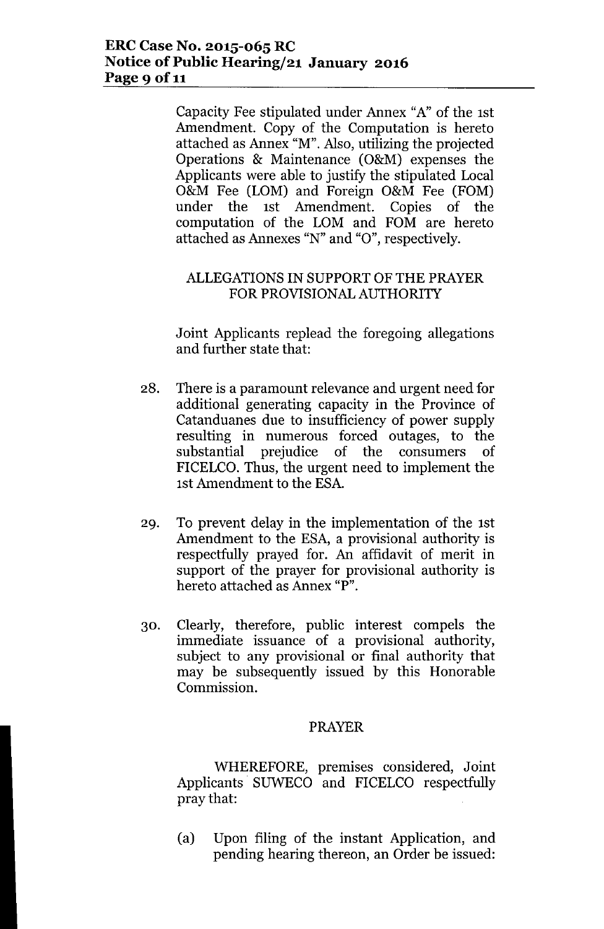# **ERCCase No. 2015-065 RC Notice** of Public **Hearing/21 January 2016 Page** 9 of 11

Capacity Fee stipulated under Annex "A" of the 1st Amendment. Copy of the Computation is hereto attached as Annex "M". Also, utilizing the projected Operations & Maintenance (O&M) expenses the Applicants were able to justify the stipulated Local O&M Fee (LOM) and Foreign O&M Fee (FOM) under the 1st Amendment. Copies of the computation of the LOM and FOM are hereto attached as Annexes "N" and "0", respectively.

# ALLEGATIONSIN SUPPORT OF THE PRAYER FOR PROVISIONALAUTHORITY

Joint Applicants replead the foregoing allegations and further state that:

- 28. There is a paramount relevance and urgent need for additional generating capacity in the Province of Catanduanes due to insufficiency of power supply resulting in numerous forced outages, to the substantial prejudice of the consumers of FICELCO. Thus, the urgent need to implement the 1st Amendment to the ESA.
- 29. To prevent delay in the implementation of the 1st Amendment to the ESA, a provisional authority is respectfully prayed for. An affidavit of merit in support of the prayer for provisional authority is hereto attached as Annex "P".
- 30. Clearly, therefore, public interest compels the immediate issuance of a provisional authority, subject to any provisional or final authority that may be subsequently issued by this Honorable Commission.

## PRAYER

WHEREFORE, premises considered, Joint Applicants. SUWECO and FICELCO respectfully pray that:

(a) Upon filing of the instant Application, and pending hearing thereon, an Order be issued: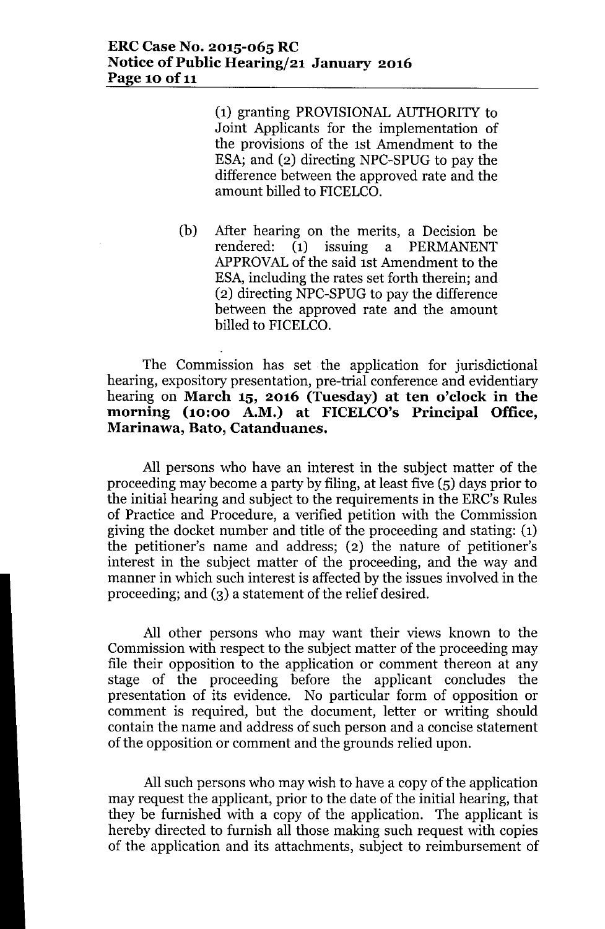(1) granting PROVISIONAL AUTHORITY to Joint Applicants for the implementation of the provisions of the 1st Amendment to the ESA; and (2) directing NPC-SPUG to pay the difference between the approved rate and the amount billed to FICELCO.

(b) After hearing on the merits, a Decision be rendered: (1) issuing a PERMANENT APPROVALof the said 1st Amendment to the ESA, including the rates set forth therein; and (2) directing NPC-SPUG to pay the difference between the approved rate and the amount billed to FICELCO.

# The Commission has set. the application for jurisdictional hearing, expository presentation, pre-trial conference and evidentiary hearing on **March 15, 2016 (Tuesday) at ten o'clock in the morning (10:00 A.M.) at FICELCO's Principal Office, Marinawa, Bato, Catanduanes.**

All persons who have an interest in the subject matter of the proceeding may become a party by filing, at least five (5) days prior to the initial hearing and subject to the requirements in the ERC's Rules of Practice and Procedure, a verified petition with the Commission giving the docket number and title of the proceeding and stating: (1) the petitioner's name and address; (2) the nature of petitioner's interest in the subject matter of the proceeding, and the way and manner in which such interest is affected by the issues involved in the proceeding; and (3) a statement of the relief desired.

All other persons who may want their views known to the Commission with respect to the subject matter of the proceeding may file their opposition to the application or comment thereon at any stage of the proceeding before the applicant concludes the presentation of its evidence. No particular form of opposition or comment is required, but the document, letter or writing should contain the name and address of such person and a concise statement of the opposition or comment and the grounds relied upon.

All such persons who may wish to have a copy of the application may request the applicant, prior to the date of the initial hearing, that they be furnished with a copy of the application. The applicant is hereby directed to furnish all those making such request with copies of the application and its attachments, subject to reimbursement of